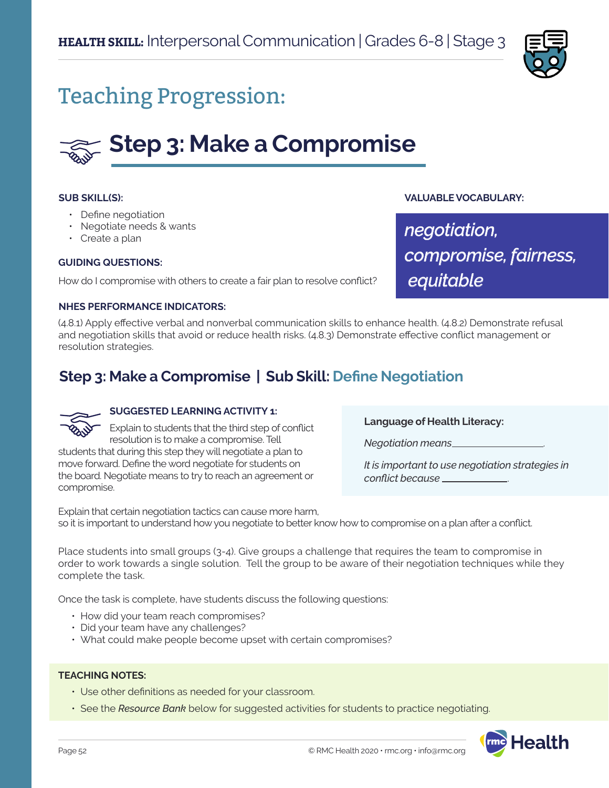

## Teaching Progression:

# **Step 3: Make a Compromise**

### **SUB SKILL(S):**

- Define negotiation
- Negotiate needs & wants
- Create a plan

### **GUIDING QUESTIONS:**

How do I compromise with others to create a fair plan to resolve conflict?

### **NHES PERFORMANCE INDICATORS:**

(4.8.1) Apply effective verbal and nonverbal communication skills to enhance health. (4.8.2) Demonstrate refusal and negotiation skills that avoid or reduce health risks. (4.8.3) Demonstrate effective conflict management or resolution strategies.

### **Step 3: Make a Compromise | Sub Skill: Define Negotiation**



### **SUGGESTED LEARNING ACTIVITY 1:**

Explain to students that the third step of conflict resolution is to make a compromise. Tell students that during this step they will negotiate a plan to move forward. Define the word negotiate for students on the board. Negotiate means to try to reach an agreement or compromise.

**Language of Health Literacy:**

*Negotiation means* .

*It is important to use negotiation strategies in conflict because* .

**VALUABLE VOCABULARY:**

*compromise, fairness,*

*negotiation,* 

 *equitable*

Explain that certain negotiation tactics can cause more harm, so it is important to understand how you negotiate to better know how to compromise on a plan after a conflict.

Place students into small groups (3-4). Give groups a challenge that requires the team to compromise in order to work towards a single solution. Tell the group to be aware of their negotiation techniques while they complete the task.

Once the task is complete, have students discuss the following questions:

- How did your team reach compromises?
- Did your team have any challenges?
- What could make people become upset with certain compromises?

#### **TEACHING NOTES:**

- Use other definitions as needed for your classroom.
- See the *Resource Bank* below for suggested activities for students to practice negotiating.

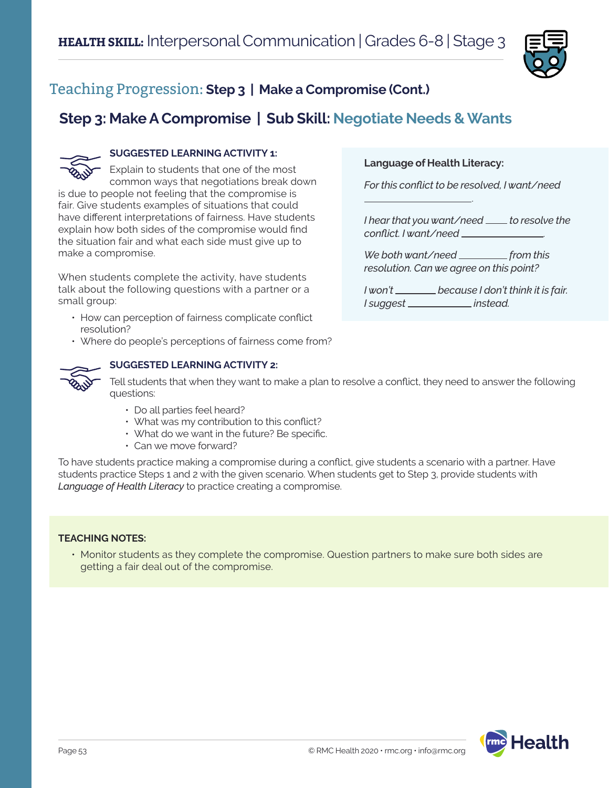

**Language of Health Literacy:**

*conflict. I want/need* .

*I suggest instead.*

.

*For this conflict to be resolved, I want/need* 

*I hear that you want/need \_\_\_\_ to resolve the* 

*We both want/need from this resolution. Can we agree on this point?*

*I won't because I don't think it is fair.* 

### Teaching Progression: **Step 3 | Make a Compromise (Cont.)**

### **Step 3: Make A Compromise | Sub Skill: Negotiate Needs & Wants**



### **SUGGESTED LEARNING ACTIVITY 1:**

Explain to students that one of the most common ways that negotiations break down is due to people not feeling that the compromise is fair. Give students examples of situations that could have different interpretations of fairness. Have students explain how both sides of the compromise would find the situation fair and what each side must give up to make a compromise.

When students complete the activity, have students talk about the following questions with a partner or a small group:

- How can perception of fairness complicate conflict resolution?
- Where do people's perceptions of fairness come from?



#### **SUGGESTED LEARNING ACTIVITY 2:**

Tell students that when they want to make a plan to resolve a conflict, they need to answer the following questions:

- Do all parties feel heard?
- What was my contribution to this conflict?
- What do we want in the future? Be specific.
- Can we move forward?

To have students practice making a compromise during a conflict, give students a scenario with a partner. Have students practice Steps 1 and 2 with the given scenario. When students get to Step 3, provide students with *Language of Health Literacy* to practice creating a compromise.

### **TEACHING NOTES:**

• Monitor students as they complete the compromise. Question partners to make sure both sides are getting a fair deal out of the compromise.